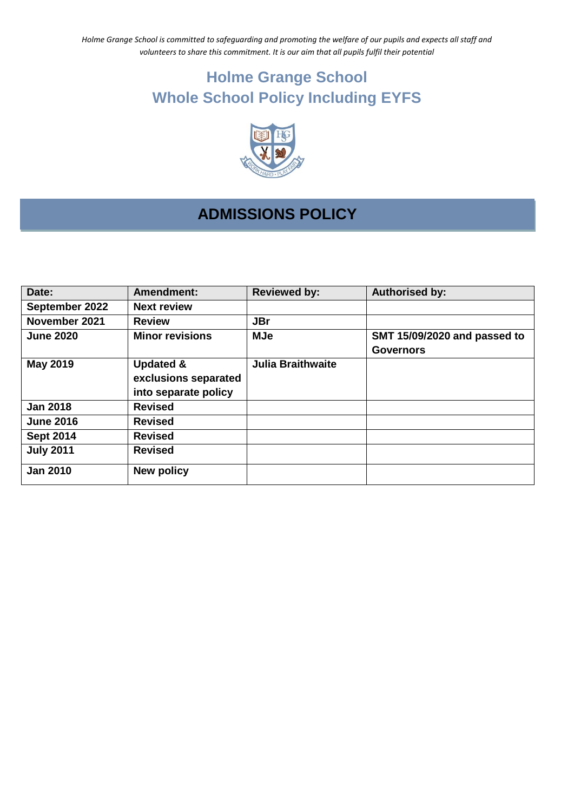*Holme Grange School is committed to safeguarding and promoting the welfare of our pupils and expects all staff and volunteers to share this commitment. It is our aim that all pupils fulfil their potential*

# **Holme Grange School Whole School Policy Including EYFS**



## **ADMISSIONS POLICY**

| Date:            | <b>Amendment:</b>                                                    | <b>Reviewed by:</b>      | <b>Authorised by:</b>                            |
|------------------|----------------------------------------------------------------------|--------------------------|--------------------------------------------------|
| September 2022   | <b>Next review</b>                                                   |                          |                                                  |
| November 2021    | <b>Review</b>                                                        | <b>JBr</b>               |                                                  |
| <b>June 2020</b> | <b>Minor revisions</b>                                               | <b>MJe</b>               | SMT 15/09/2020 and passed to<br><b>Governors</b> |
| <b>May 2019</b>  | <b>Updated &amp;</b><br>exclusions separated<br>into separate policy | <b>Julia Braithwaite</b> |                                                  |
| <b>Jan 2018</b>  | <b>Revised</b>                                                       |                          |                                                  |
| <b>June 2016</b> | <b>Revised</b>                                                       |                          |                                                  |
| <b>Sept 2014</b> | <b>Revised</b>                                                       |                          |                                                  |
| <b>July 2011</b> | <b>Revised</b>                                                       |                          |                                                  |
| <b>Jan 2010</b>  | New policy                                                           |                          |                                                  |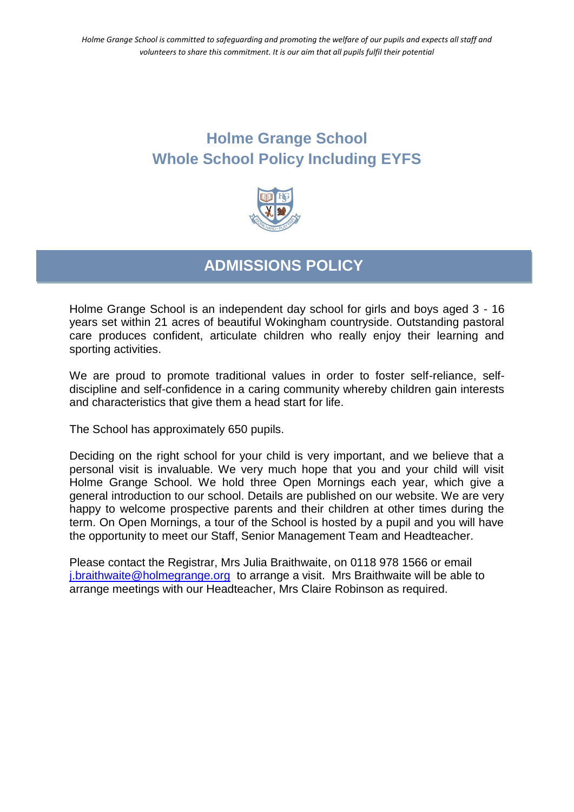## **Holme Grange School Whole School Policy Including EYFS**



## **ADMISSIONS POLICY**

Holme Grange School is an independent day school for girls and boys aged 3 - 16 years set within 21 acres of beautiful Wokingham countryside. Outstanding pastoral care produces confident, articulate children who really enjoy their learning and sporting activities.

We are proud to promote traditional values in order to foster self-reliance, selfdiscipline and self-confidence in a caring community whereby children gain interests and characteristics that give them a head start for life.

The School has approximately 650 pupils.

Deciding on the right school for your child is very important, and we believe that a personal visit is invaluable. We very much hope that you and your child will visit Holme Grange School. We hold three Open Mornings each year, which give a general introduction to our school. Details are published on our website. We are very happy to welcome prospective parents and their children at other times during the term. On Open Mornings, a tour of the School is hosted by a pupil and you will have the opportunity to meet our Staff, Senior Management Team and Headteacher.

Please contact the Registrar, Mrs Julia Braithwaite, on 0118 978 1566 or email [j.braithwaite@holmegrange.org](mailto:j.braithwaite@holmegrange.org) to arrange a visit. Mrs Braithwaite will be able to arrange meetings with our Headteacher, Mrs Claire Robinson as required.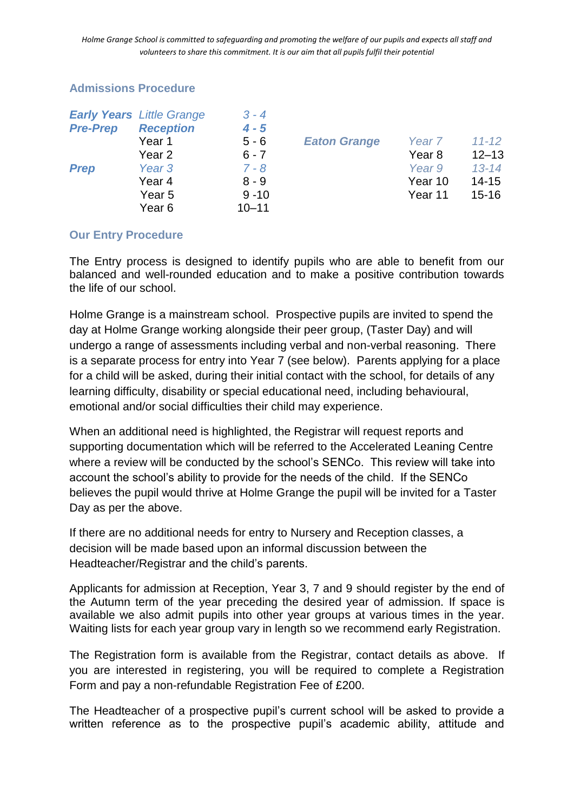*Holme Grange School is committed to safeguarding and promoting the welfare of our pupils and expects all staff and volunteers to share this commitment. It is our aim that all pupils fulfil their potential*

#### **Admissions Procedure**

|                 | <b>Early Years</b> Little Grange | $3 - 4$   |                     |                   |           |
|-----------------|----------------------------------|-----------|---------------------|-------------------|-----------|
| <b>Pre-Prep</b> | <b>Reception</b>                 | $4 - 5$   |                     |                   |           |
|                 | Year 1                           | $5 - 6$   | <b>Eaton Grange</b> | Year <sub>7</sub> | $11 - 12$ |
|                 | Year 2                           | $6 - 7$   |                     | Year 8            | $12 - 13$ |
| <b>Prep</b>     | Year <sub>3</sub>                | $7 - 8$   |                     | Year 9            | $13 - 14$ |
|                 | Year 4                           | $8 - 9$   |                     | Year 10           | $14 - 15$ |
|                 | Year 5                           | $9 - 10$  |                     | Year 11           | $15 - 16$ |
|                 | Year 6                           | $10 - 11$ |                     |                   |           |

#### **Our Entry Procedure**

The Entry process is designed to identify pupils who are able to benefit from our balanced and well-rounded education and to make a positive contribution towards the life of our school.

Holme Grange is a mainstream school. Prospective pupils are invited to spend the day at Holme Grange working alongside their peer group, (Taster Day) and will undergo a range of assessments including verbal and non-verbal reasoning. There is a separate process for entry into Year 7 (see below). Parents applying for a place for a child will be asked, during their initial contact with the school, for details of any learning difficulty, disability or special educational need, including behavioural, emotional and/or social difficulties their child may experience.

When an additional need is highlighted, the Registrar will request reports and supporting documentation which will be referred to the Accelerated Leaning Centre where a review will be conducted by the school's SENCo. This review will take into account the school's ability to provide for the needs of the child. If the SENCo believes the pupil would thrive at Holme Grange the pupil will be invited for a Taster Day as per the above.

If there are no additional needs for entry to Nursery and Reception classes, a decision will be made based upon an informal discussion between the Headteacher/Registrar and the child's parents.

Applicants for admission at Reception, Year 3, 7 and 9 should register by the end of the Autumn term of the year preceding the desired year of admission. If space is available we also admit pupils into other year groups at various times in the year. Waiting lists for each year group vary in length so we recommend early Registration.

The Registration form is available from the Registrar, contact details as above. If you are interested in registering, you will be required to complete a Registration Form and pay a non-refundable Registration Fee of £200.

The Headteacher of a prospective pupil's current school will be asked to provide a written reference as to the prospective pupil's academic ability, attitude and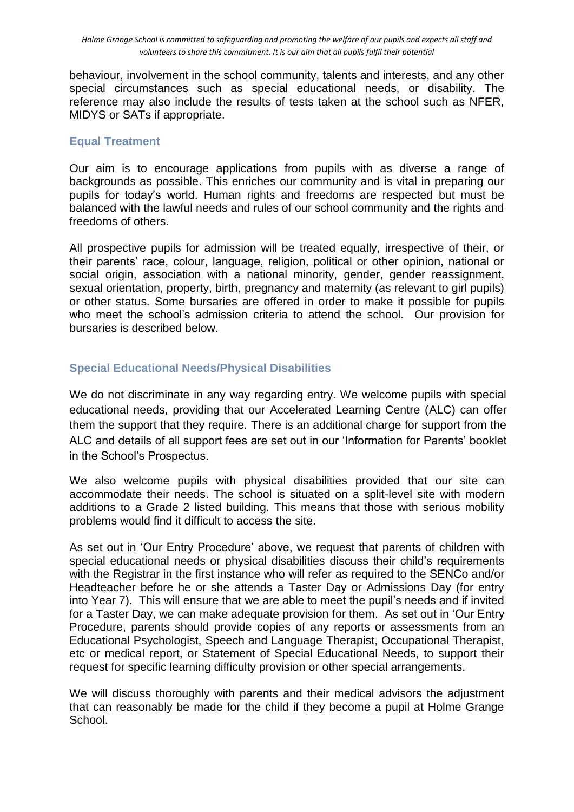behaviour, involvement in the school community, talents and interests, and any other special circumstances such as special educational needs, or disability. The reference may also include the results of tests taken at the school such as NFER, MIDYS or SATs if appropriate.

#### **Equal Treatment**

Our aim is to encourage applications from pupils with as diverse a range of backgrounds as possible. This enriches our community and is vital in preparing our pupils for today's world. Human rights and freedoms are respected but must be balanced with the lawful needs and rules of our school community and the rights and freedoms of others.

All prospective pupils for admission will be treated equally, irrespective of their, or their parents' race, colour, language, religion, political or other opinion, national or social origin, association with a national minority, gender, gender reassignment, sexual orientation, property, birth, pregnancy and maternity (as relevant to girl pupils) or other status. Some bursaries are offered in order to make it possible for pupils who meet the school's admission criteria to attend the school. Our provision for bursaries is described below.

### **Special Educational Needs/Physical Disabilities**

We do not discriminate in any way regarding entry. We welcome pupils with special educational needs, providing that our Accelerated Learning Centre (ALC) can offer them the support that they require. There is an additional charge for support from the ALC and details of all support fees are set out in our 'Information for Parents' booklet in the School's Prospectus.

We also welcome pupils with physical disabilities provided that our site can accommodate their needs. The school is situated on a split-level site with modern additions to a Grade 2 listed building. This means that those with serious mobility problems would find it difficult to access the site.

As set out in 'Our Entry Procedure' above, we request that parents of children with special educational needs or physical disabilities discuss their child's requirements with the Registrar in the first instance who will refer as required to the SENCo and/or Headteacher before he or she attends a Taster Day or Admissions Day (for entry into Year 7). This will ensure that we are able to meet the pupil's needs and if invited for a Taster Day, we can make adequate provision for them. As set out in 'Our Entry Procedure, parents should provide copies of any reports or assessments from an Educational Psychologist, Speech and Language Therapist, Occupational Therapist, etc or medical report, or Statement of Special Educational Needs, to support their request for specific learning difficulty provision or other special arrangements.

We will discuss thoroughly with parents and their medical advisors the adjustment that can reasonably be made for the child if they become a pupil at Holme Grange School.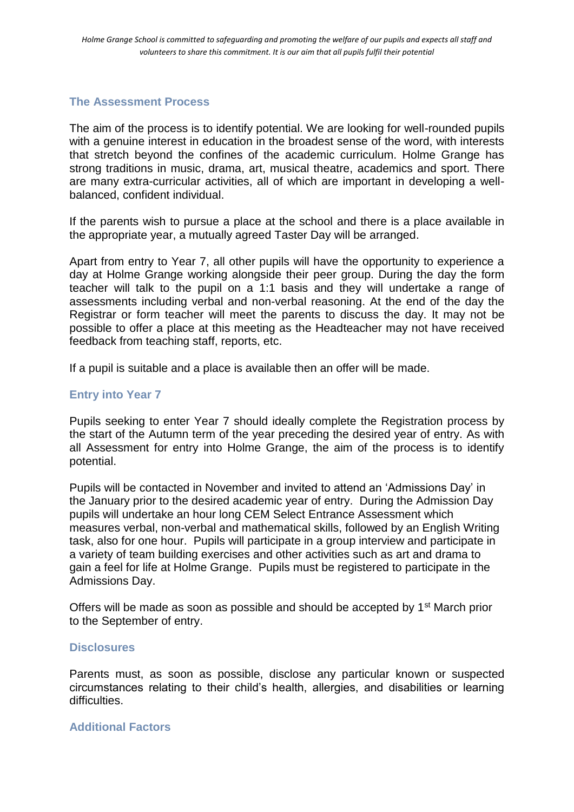#### **The Assessment Process**

The aim of the process is to identify potential. We are looking for well-rounded pupils with a genuine interest in education in the broadest sense of the word, with interests that stretch beyond the confines of the academic curriculum. Holme Grange has strong traditions in music, drama, art, musical theatre, academics and sport. There are many extra-curricular activities, all of which are important in developing a wellbalanced, confident individual.

If the parents wish to pursue a place at the school and there is a place available in the appropriate year, a mutually agreed Taster Day will be arranged.

Apart from entry to Year 7, all other pupils will have the opportunity to experience a day at Holme Grange working alongside their peer group. During the day the form teacher will talk to the pupil on a 1:1 basis and they will undertake a range of assessments including verbal and non-verbal reasoning. At the end of the day the Registrar or form teacher will meet the parents to discuss the day. It may not be possible to offer a place at this meeting as the Headteacher may not have received feedback from teaching staff, reports, etc.

If a pupil is suitable and a place is available then an offer will be made.

#### **Entry into Year 7**

Pupils seeking to enter Year 7 should ideally complete the Registration process by the start of the Autumn term of the year preceding the desired year of entry. As with all Assessment for entry into Holme Grange, the aim of the process is to identify potential.

Pupils will be contacted in November and invited to attend an 'Admissions Day' in the January prior to the desired academic year of entry. During the Admission Day pupils will undertake an hour long CEM Select Entrance Assessment which measures verbal, non-verbal and mathematical skills, followed by an English Writing task, also for one hour. Pupils will participate in a group interview and participate in a variety of team building exercises and other activities such as art and drama to gain a feel for life at Holme Grange. Pupils must be registered to participate in the Admissions Day.

Offers will be made as soon as possible and should be accepted by 1<sup>st</sup> March prior to the September of entry.

#### **Disclosures**

Parents must, as soon as possible, disclose any particular known or suspected circumstances relating to their child's health, allergies, and disabilities or learning difficulties.

#### **Additional Factors**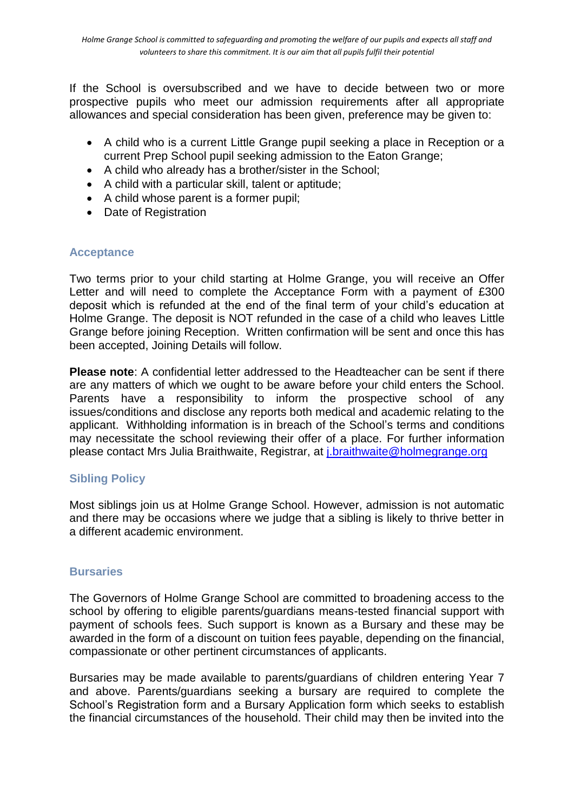If the School is oversubscribed and we have to decide between two or more prospective pupils who meet our admission requirements after all appropriate allowances and special consideration has been given, preference may be given to:

- A child who is a current Little Grange pupil seeking a place in Reception or a current Prep School pupil seeking admission to the Eaton Grange;
- A child who already has a brother/sister in the School;
- A child with a particular skill, talent or aptitude;
- A child whose parent is a former pupil;
- Date of Registration

#### **Acceptance**

Two terms prior to your child starting at Holme Grange, you will receive an Offer Letter and will need to complete the Acceptance Form with a payment of £300 deposit which is refunded at the end of the final term of your child's education at Holme Grange. The deposit is NOT refunded in the case of a child who leaves Little Grange before joining Reception. Written confirmation will be sent and once this has been accepted, Joining Details will follow.

**Please note**: A confidential letter addressed to the Headteacher can be sent if there are any matters of which we ought to be aware before your child enters the School. Parents have a responsibility to inform the prospective school of any issues/conditions and disclose any reports both medical and academic relating to the applicant. Withholding information is in breach of the School's terms and conditions may necessitate the school reviewing their offer of a place. For further information please contact Mrs Julia Braithwaite, Registrar, at [j.braithwaite@holmegrange.org](mailto:j.braithwaite@holmegrange.org)

### **Sibling Policy**

Most siblings join us at Holme Grange School. However, admission is not automatic and there may be occasions where we judge that a sibling is likely to thrive better in a different academic environment.

#### **Bursaries**

The Governors of Holme Grange School are committed to broadening access to the school by offering to eligible parents/guardians means-tested financial support with payment of schools fees. Such support is known as a Bursary and these may be awarded in the form of a discount on tuition fees payable, depending on the financial, compassionate or other pertinent circumstances of applicants.

Bursaries may be made available to parents/guardians of children entering Year 7 and above. Parents/guardians seeking a bursary are required to complete the School's Registration form and a Bursary Application form which seeks to establish the financial circumstances of the household. Their child may then be invited into the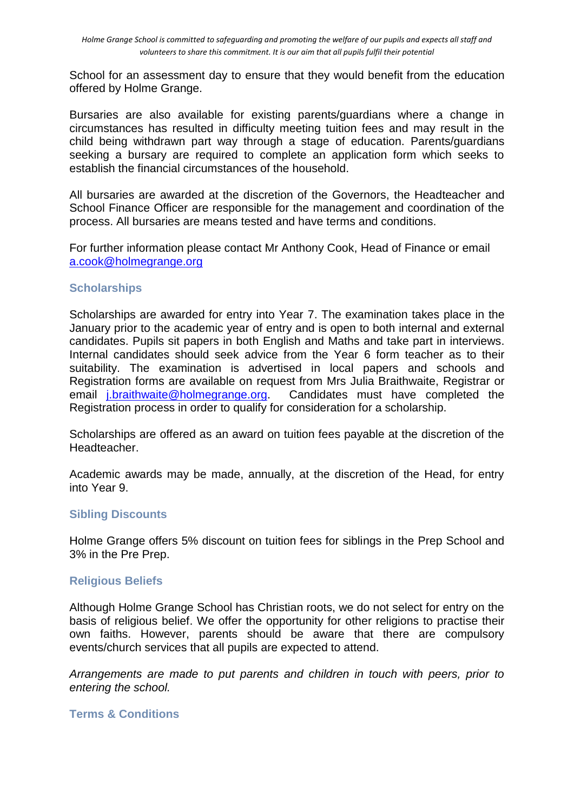School for an assessment day to ensure that they would benefit from the education offered by Holme Grange.

Bursaries are also available for existing parents/guardians where a change in circumstances has resulted in difficulty meeting tuition fees and may result in the child being withdrawn part way through a stage of education. Parents/guardians seeking a bursary are required to complete an application form which seeks to establish the financial circumstances of the household.

All bursaries are awarded at the discretion of the Governors, the Headteacher and School Finance Officer are responsible for the management and coordination of the process. All bursaries are means tested and have terms and conditions.

For further information please contact Mr Anthony Cook, Head of Finance or email [a.cook@holmegrange.org](mailto:a.cook@holmegrange.org)

#### **Scholarships**

Scholarships are awarded for entry into Year 7. The examination takes place in the January prior to the academic year of entry and is open to both internal and external candidates. Pupils sit papers in both English and Maths and take part in interviews. Internal candidates should seek advice from the Year 6 form teacher as to their suitability. The examination is advertised in local papers and schools and Registration forms are available on request from Mrs Julia Braithwaite, Registrar or email [j.braithwaite@holmegrange.org.](mailto:j.braithwaite@holmegrange.org) Candidates must have completed the Registration process in order to qualify for consideration for a scholarship.

Scholarships are offered as an award on tuition fees payable at the discretion of the Headteacher.

Academic awards may be made, annually, at the discretion of the Head, for entry into Year 9.

#### **Sibling Discounts**

Holme Grange offers 5% discount on tuition fees for siblings in the Prep School and 3% in the Pre Prep.

#### **Religious Beliefs**

Although Holme Grange School has Christian roots, we do not select for entry on the basis of religious belief. We offer the opportunity for other religions to practise their own faiths. However, parents should be aware that there are compulsory events/church services that all pupils are expected to attend.

*Arrangements are made to put parents and children in touch with peers, prior to entering the school.*

#### **Terms & Conditions**